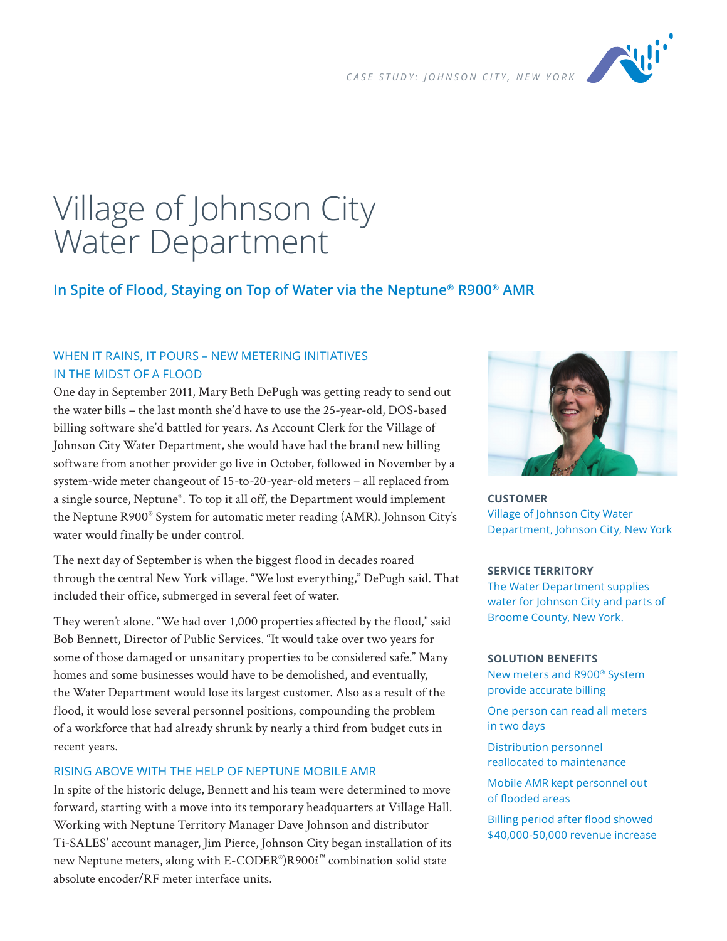

# Village of Johnson City Water Department

## **In Spite of Flood, Staying on Top of Water via the Neptune® R900® AMR**

## WHEN IT RAINS, IT POURS – NEW METERING INITIATIVES IN THE MIDST OF A FLOOD

One day in September 2011, Mary Beth DePugh was getting ready to send out the water bills – the last month she'd have to use the 25-year-old, DOS-based billing software she'd battled for years. As Account Clerk for the Village of Johnson City Water Department, she would have had the brand new billing software from another provider go live in October, followed in November by a system-wide meter changeout of 15-to-20-year-old meters – all replaced from a single source, Neptune®. To top it all off, the Department would implement the Neptune R900® System for automatic meter reading (AMR). Johnson City's water would finally be under control.

The next day of September is when the biggest flood in decades roared through the central New York village. "We lost everything," DePugh said. That included their office, submerged in several feet of water.

They weren't alone. "We had over 1,000 properties affected by the flood," said Bob Bennett, Director of Public Services. "It would take over two years for some of those damaged or unsanitary properties to be considered safe." Many homes and some businesses would have to be demolished, and eventually, the Water Department would lose its largest customer. Also as a result of the flood, it would lose several personnel positions, compounding the problem of a workforce that had already shrunk by nearly a third from budget cuts in recent years.

#### RISING ABOVE WITH THE HELP OF NEPTUNE MOBILE AMR

In spite of the historic deluge, Bennett and his team were determined to move forward, starting with a move into its temporary headquarters at Village Hall. Working with Neptune Territory Manager Dave Johnson and distributor Ti-SALES' account manager, Jim Pierce, Johnson City began installation of its new Neptune meters, along with E-CODER® )R900*i* ™ combination solid state absolute encoder/RF meter interface units.



**CUSTOMER** Village of Johnson City Water Department, Johnson City, New York

#### **SERVICE TERRITORY**

The Water Department supplies water for Johnson City and parts of Broome County, New York.

#### **SOLUTION BENEFITS**

New meters and R900® System provide accurate billing

One person can read all meters in two days

Distribution personnel reallocated to maintenance

Mobile AMR kept personnel out of flooded areas

Billing period after flood showed \$40,000-50,000 revenue increase